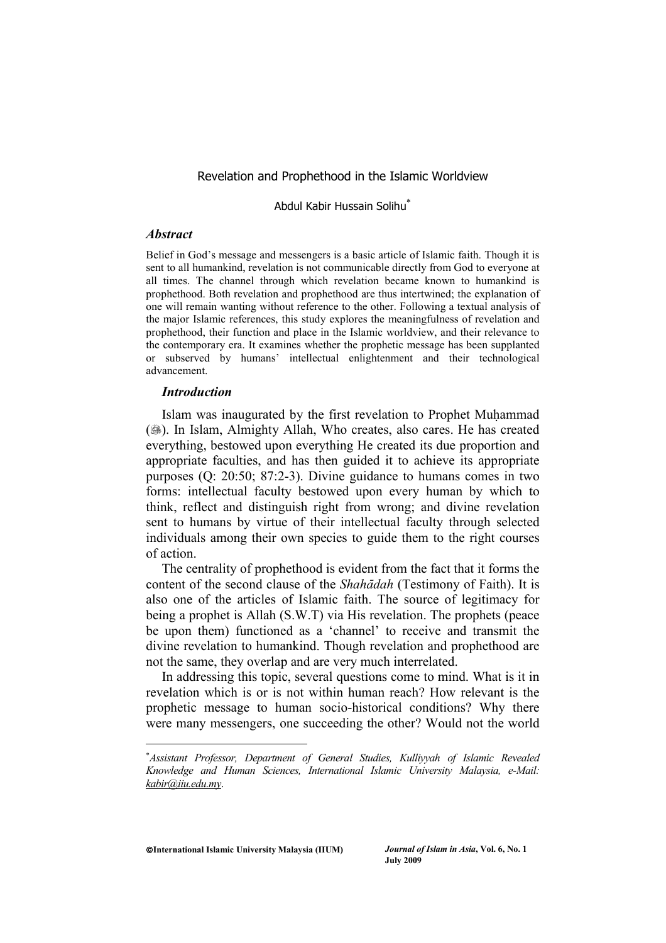#### Revelation and Prophethood in the Islamic Worldview

Abdul Kabir Hussain Solihu<sup>\*</sup>

#### *Abstract*

Belief in God's message and messengers is a basic article of Islamic faith. Though it is sent to all humankind, revelation is not communicable directly from God to everyone at all times. The channel through which revelation became known to humankind is prophethood. Both revelation and prophethood are thus intertwined; the explanation of one will remain wanting without reference to the other. Following a textual analysis of the major Islamic references, this study explores the meaningfulness of revelation and prophethood, their function and place in the Islamic worldview, and their relevance to the contemporary era. It examines whether the prophetic message has been supplanted or subserved by humans' intellectual enlightenment and their technological advancement.

#### *Introduction*

Islam was inaugurated by the first revelation to Prophet Muhammad (...). In Islam, Almighty Allah, Who creates, also cares. He has created everything, bestowed upon everything He created its due proportion and appropriate faculties, and has then guided it to achieve its appropriate purposes (Q: 20:50; 87:2-3). Divine guidance to humans comes in two forms: intellectual faculty bestowed upon every human by which to think, reflect and distinguish right from wrong; and divine revelation sent to humans by virtue of their intellectual faculty through selected individuals among their own species to guide them to the right courses of action.

The centrality of prophethood is evident from the fact that it forms the content of the second clause of the *Shahādah* (Testimony of Faith). It is also one of the articles of Islamic faith. The source of legitimacy for being a prophet is Allah (S.W.T) via His revelation. The prophets (peace be upon them) functioned as a 'channel' to receive and transmit the divine revelation to humankind. Though revelation and prophethood are not the same, they overlap and are very much interrelated.

In addressing this topic, several questions come to mind. What is it in revelation which is or is not within human reach? How relevant is the prophetic message to human socio-historical conditions? Why there were many messengers, one succeeding the other? Would not the world

**International Islamic University Malaysia (IIUM)** *Journal of Islam in Asia***, Vol. 6, No. 1**

<sup>-</sup> *Assistant Professor, Department of General Studies, Kulliyyah of Islamic Revealed Knowledge and Human Sciences, International Islamic University Malaysia, e-Mail: kabir@iiu.edu.my*.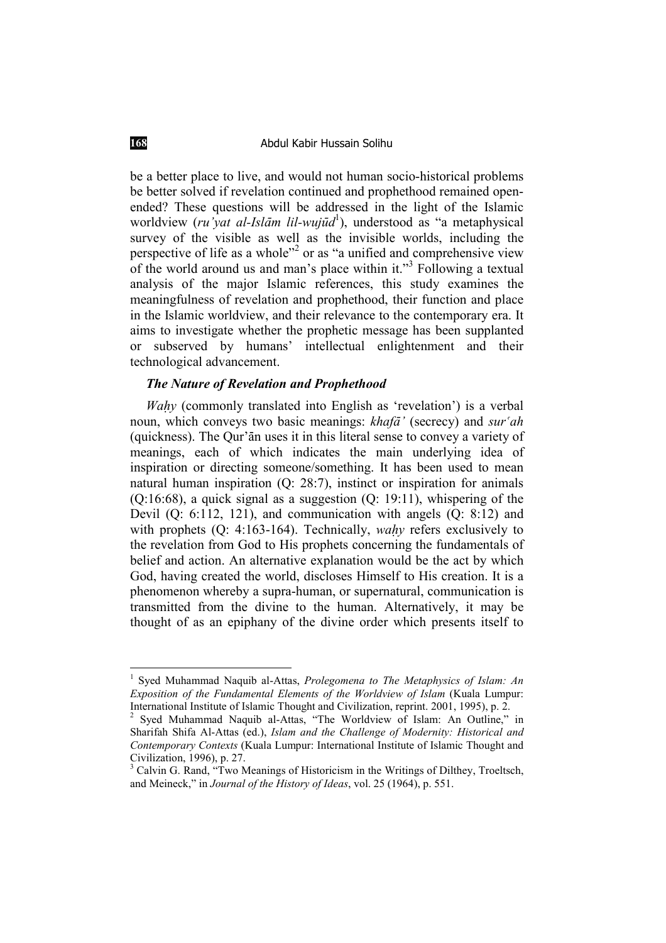be a better place to live, and would not human socio-historical problems be better solved if revelation continued and prophethood remained openended? These questions will be addressed in the light of the Islamic worldview (*ru'yat al-IslÉm lil-wujËd*<sup>1</sup> ), understood as "a metaphysical survey of the visible as well as the invisible worlds, including the perspective of life as a whole"<sup>2</sup> or as "a unified and comprehensive view of the world around us and man's place within it."3 Following a textual analysis of the major Islamic references, this study examines the meaningfulness of revelation and prophethood, their function and place in the Islamic worldview, and their relevance to the contemporary era. It aims to investigate whether the prophetic message has been supplanted or subserved by humans' intellectual enlightenment and their technological advancement.

#### *The Nature of Revelation and Prophethood*

*Wahy* (commonly translated into English as 'revelation') is a verbal noun, which conveys two basic meanings: *khaf* $\tilde{a}$ <sup>*'*</sup> (secrecy) and *sur*<sup>*'ah*</sup> (quickness). The Qur'ān uses it in this literal sense to convey a variety of meanings, each of which indicates the main underlying idea of inspiration or directing someone/something. It has been used to mean natural human inspiration (Q: 28:7), instinct or inspiration for animals (Q:16:68), a quick signal as a suggestion (Q: 19:11), whispering of the Devil (Q: 6:112, 121), and communication with angels (Q: 8:12) and with prophets (Q: 4:163-164). Technically, *wahy* refers exclusively to the revelation from God to His prophets concerning the fundamentals of belief and action. An alternative explanation would be the act by which God, having created the world, discloses Himself to His creation. It is a phenomenon whereby a supra-human, or supernatural, communication is transmitted from the divine to the human. Alternatively, it may be thought of as an epiphany of the divine order which presents itself to

<sup>1</sup> Syed Muhammad Naquib al-Attas, *Prolegomena to The Metaphysics of Islam: An Exposition of the Fundamental Elements of the Worldview of Islam* (Kuala Lumpur: International Institute of Islamic Thought and Civilization, reprint. 2001, 1995), p. 2.

<sup>&</sup>lt;sup>2</sup> Syed Muhammad Naquib al-Attas, "The Worldview of Islam: An Outline," in Sharifah Shifa Al-Attas (ed.), *Islam and the Challenge of Modernity: Historical and Contemporary Contexts* (Kuala Lumpur: International Institute of Islamic Thought and Civilization, 1996), p. 27.

<sup>&</sup>lt;sup>3</sup> Calvin G. Rand, "Two Meanings of Historicism in the Writings of Dilthey, Troeltsch, and Meineck," in *Journal of the History of Ideas*, vol. 25 (1964), p. 551.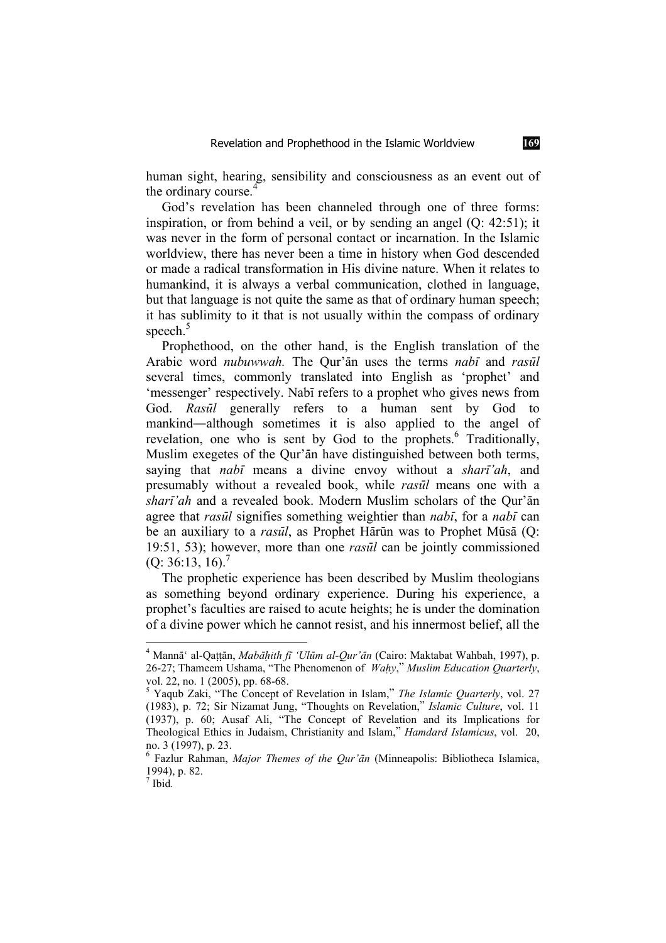human sight, hearing, sensibility and consciousness as an event out of the ordinary course.

God's revelation has been channeled through one of three forms: inspiration, or from behind a veil, or by sending an angel (Q: 42:51); it was never in the form of personal contact or incarnation. In the Islamic worldview, there has never been a time in history when God descended or made a radical transformation in His divine nature. When it relates to humankind, it is always a verbal communication, clothed in language, but that language is not quite the same as that of ordinary human speech; it has sublimity to it that is not usually within the compass of ordinary speech.<sup>5</sup>

Prophethood, on the other hand, is the English translation of the Arabic word *nubuwwah*. The Our'an uses the terms *nabi* and *rasul* several times, commonly translated into English as 'prophet' and 'messenger' respectively. Nabī refers to a prophet who gives news from God. *RasËl* generally refers to a human sent by God to mankind—although sometimes it is also applied to the angel of revelation, one who is sent by God to the prophets.<sup>6</sup> Traditionally, Muslim exegetes of the Qur'an have distinguished between both terms, saying that *nabī* means a divine envoy without a *sharī'ah*, and presumably without a revealed book, while *rasËl* means one with a *sharī'ah* and a revealed book. Modern Muslim scholars of the Qur'ān agree that *rasūl* signifies something weightier than *nabī*, for a *nabī* can be an auxiliary to a *rasūl*, as Prophet Hārūn was to Prophet Mūsā (Q: 19:51, 53); however, more than one *rasËl* can be jointly commissioned  $(Q: 36:13, 16).$ <sup>7</sup>

The prophetic experience has been described by Muslim theologians as something beyond ordinary experience. During his experience, a prophet's faculties are raised to acute heights; he is under the domination of a divine power which he cannot resist, and his innermost belief, all the

<sup>&</sup>lt;sup>4</sup> Mannā<sup>c</sup> al-Qaṭṭān, *Mabāḥith fī 'Ulūm al-Qur'ān* (Cairo: Maktabat Wahbah, 1997), p. 26-27; Thameem Ushama, "The Phenomenon of *Wahy," Muslim Education Quarterly*, vol. 22, no. 1 (2005), pp. 68-68.

<sup>5</sup> Yaqub Zaki, "The Concept of Revelation in Islam," *The Islamic Quarterly*, vol. 27 (1983), p. 72; Sir Nizamat Jung, "Thoughts on Revelation," *Islamic Culture*, vol. 11 (1937), p. 60; Ausaf Ali, "The Concept of Revelation and its Implications for Theological Ethics in Judaism, Christianity and Islam," *Hamdard Islamicus*, vol. 20, no. 3 (1997), p. 23.

<sup>6</sup> Fazlur Rahman, *Major Themes of the Qur'Én* (Minneapolis: Bibliotheca Islamica, 1994), p. 82.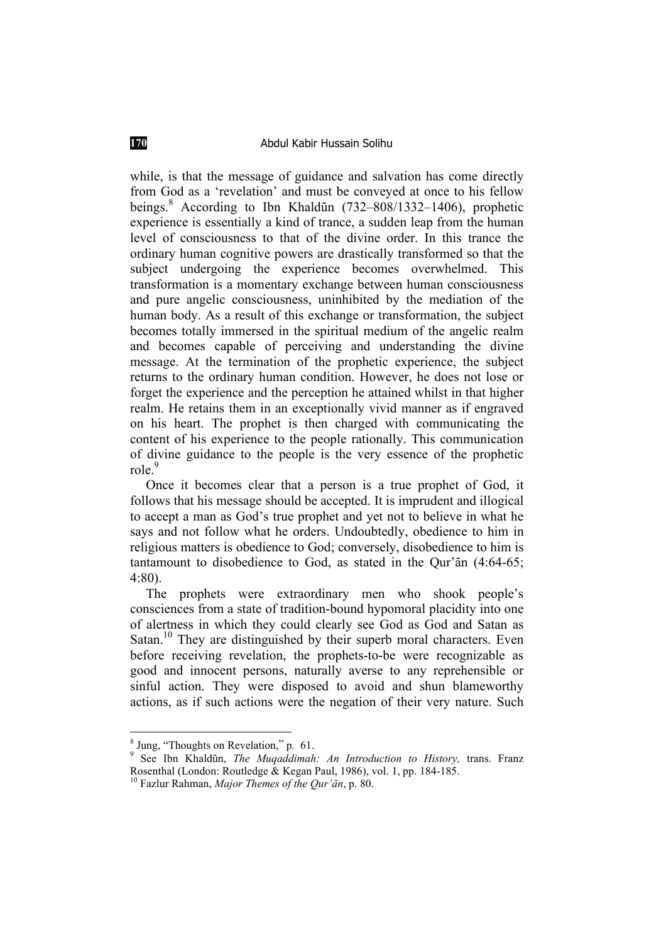while, is that the message of guidance and salvation has come directly from God as a 'revelation' and must be conveyed at once to his fellow beings.<sup>8</sup> According to Ibn Khaldūn (732–808/1332–1406), prophetic experience is essentially a kind of trance, a sudden leap from the human level of consciousness to that of the divine order. In this trance the ordinary human cognitive powers are drastically transformed so that the subject undergoing the experience becomes overwhelmed. This transformation is a momentary exchange between human consciousness and pure angelic consciousness, uninhibited by the mediation of the human body. As a result of this exchange or transformation, the subject becomes totally immersed in the spiritual medium of the angelic realm and becomes capable of perceiving and understanding the divine message. At the termination of the prophetic experience, the subject returns to the ordinary human condition. However, he does not lose or forget the experience and the perception he attained whilst in that higher realm. He retains them in an exceptionally vivid manner as if engraved on his heart. The prophet is then charged with communicating the content of his experience to the people rationally. This communication of divine guidance to the people is the very essence of the prophetic role.<sup>9</sup>

Once it becomes clear that a person is a true prophet of God, it follows that his message should be accepted. It is imprudent and illogical to accept a man as God's true prophet and yet not to believe in what he says and not follow what he orders. Undoubtedly, obedience to him in religious matters is obedience to God; conversely, disobedience to him is tantamount to disobedience to God, as stated in the Our' $\bar{a}$ n (4:64-65; 4:80).

The prophets were extraordinary men who shook people's consciences from a state of tradition-bound hypomoral placidity into one of alertness in which they could clearly see God as God and Satan as Satan.<sup>10</sup> They are distinguished by their superb moral characters. Even before receiving revelation, the prophets-to-be were recognizable as good and innocent persons, naturally averse to any reprehensible or sinful action. They were disposed to avoid and shun blameworthy actions, as if such actions were the negation of their very nature. Such

<sup>&</sup>lt;sup>8</sup> Jung, "Thoughts on Revelation," p. 61.<br><sup>9</sup> See Ibn Khaldūn, *The Muqaddimah: An Introduction to History*, trans. Franz Rosenthal (London: Routledge & Kegan Paul, 1986), vol. 1, pp. 184-185.<br><sup>10</sup> Fazlur Rahman, *Major Themes of the Qur'ān*, p. 80.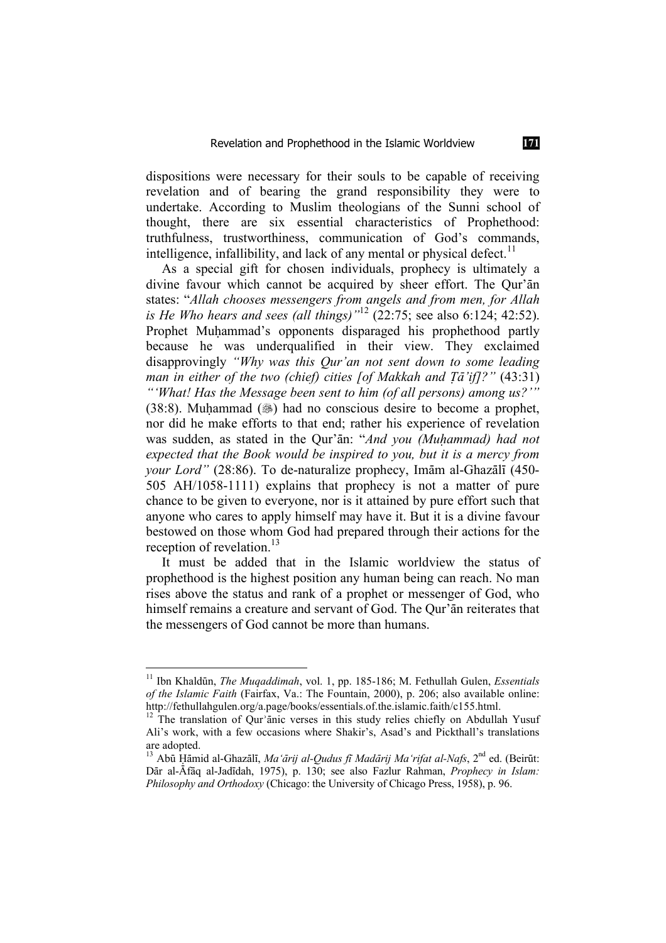dispositions were necessary for their souls to be capable of receiving revelation and of bearing the grand responsibility they were to undertake. According to Muslim theologians of the Sunni school of thought, there are six essential characteristics of Prophethood: truthfulness, trustworthiness, communication of God's commands, intelligence, infallibility, and lack of any mental or physical defect.<sup>11</sup>

As a special gift for chosen individuals, prophecy is ultimately a divine favour which cannot be acquired by sheer effort. The Qur'an states: "*Allah chooses messengers from angels and from men, for Allah is He Who hears and sees (all things)*<sup>"12</sup> (22:75; see also 6:124; 42:52). Prophet Muhammad's opponents disparaged his prophethood partly because he was underqualified in their view. They exclaimed disapprovingly *"Why was this Qur'an not sent down to some leading man in either of the two (chief) cities [of Makkah and Tā'if]?"* (43:31) *"'What! Has the Message been sent to him (of all persons) among us?'"*  $(38:8)$ . Muhammad  $(\circledast)$  had no conscious desire to become a prophet, nor did he make efforts to that end; rather his experience of revelation

was sudden, as stated in the Qur'ān: "*And you (Muhammad) had not expected that the Book would be inspired to you, but it is a mercy from your Lord"* (28:86). To de-naturalize prophecy, Imam al-Ghazali (450-505 AH/1058-1111) explains that prophecy is not a matter of pure chance to be given to everyone, nor is it attained by pure effort such that anyone who cares to apply himself may have it. But it is a divine favour bestowed on those whom God had prepared through their actions for the reception of revelation  $^{13}$ 

It must be added that in the Islamic worldview the status of prophethood is the highest position any human being can reach. No man rises above the status and rank of a prophet or messenger of God, who himself remains a creature and servant of God. The Our'an reiterates that the messengers of God cannot be more than humans.

<sup>11</sup> Ibn KhaldËn, *The Muqaddimah*, vol. 1, pp. 185-186; M. Fethullah Gulen, *Essentials of the Islamic Faith* (Fairfax, Va.: The Fountain, 2000), p. 206; also available online: http://fethullahgulen.org/a.page/books/essentials.of.the.islamic.faith/c155.html.

 $12$  The translation of Qur'anic verses in this study relies chiefly on Abdullah Yusuf Ali's work, with a few occasions where Shakir's, Asad's and Pickthall's translations are adopted.

<sup>&</sup>lt;sup>13</sup> Abū Hāmid al-Ghazālī, *Ma'ārij al-Oudus fī Madārij Ma'rifat al-Nafs*, 2<sup>nd</sup> ed. (Beirūt: Dār al-Āfāq al-Jadīdah, 1975), p. 130; see also Fazlur Rahman, *Prophecy in Islam: Philosophy and Orthodoxy* (Chicago: the University of Chicago Press, 1958), p. 96.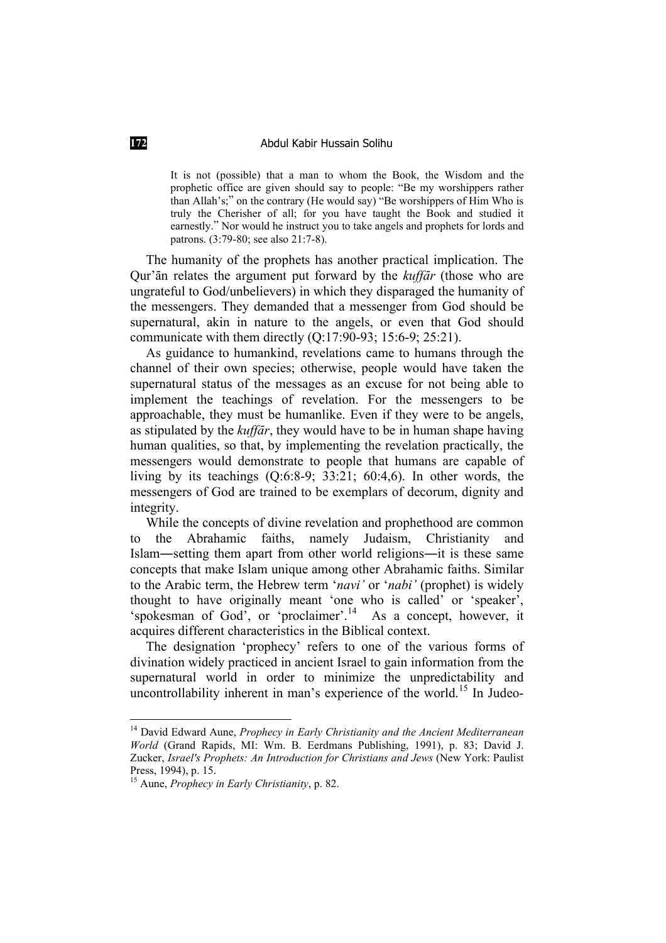It is not (possible) that a man to whom the Book, the Wisdom and the prophetic office are given should say to people: "Be my worshippers rather than Allah's;" on the contrary (He would say) "Be worshippers of Him Who is truly the Cherisher of all; for you have taught the Book and studied it earnestly." Nor would he instruct you to take angels and prophets for lords and patrons. (3:79-80; see also 21:7-8).

The humanity of the prophets has another practical implication. The Qur'an relates the argument put forward by the *kuffar* (those who are ungrateful to God/unbelievers) in which they disparaged the humanity of the messengers. They demanded that a messenger from God should be supernatural, akin in nature to the angels, or even that God should communicate with them directly (Q:17:90-93; 15:6-9; 25:21).

As guidance to humankind, revelations came to humans through the channel of their own species; otherwise, people would have taken the supernatural status of the messages as an excuse for not being able to implement the teachings of revelation. For the messengers to be approachable, they must be humanlike. Even if they were to be angels, as stipulated by the *kuffār*, they would have to be in human shape having human qualities, so that, by implementing the revelation practically, the messengers would demonstrate to people that humans are capable of living by its teachings (Q:6:8-9; 33:21; 60:4,6). In other words, the messengers of God are trained to be exemplars of decorum, dignity and integrity.

While the concepts of divine revelation and prophethood are common to the Abrahamic faiths, namely Judaism, Christianity and Islam—setting them apart from other world religions—it is these same concepts that make Islam unique among other Abrahamic faiths. Similar to the Arabic term, the Hebrew term '*navi'* or '*nabi'* (prophet) is widely thought to have originally meant 'one who is called' or 'speaker', 'spokesman of God', or 'proclaimer'.<sup>14</sup> As a concept, however, it acquires different characteristics in the Biblical context.

The designation 'prophecy' refers to one of the various forms of divination widely practiced in ancient Israel to gain information from the supernatural world in order to minimize the unpredictability and uncontrollability inherent in man's experience of the world.<sup>15</sup> In Judeo-

<sup>14</sup> David Edward Aune, *Prophecy in Early Christianity and the Ancient Mediterranean World* (Grand Rapids, MI: Wm. B. Eerdmans Publishing, 1991), p. 83; David J. Zucker, *Israel's Prophets: An Introduction for Christians and Jews* (New York: Paulist Press, 1994), p. 15. 15 Aune, *Prophecy in Early Christianity*, p. 82.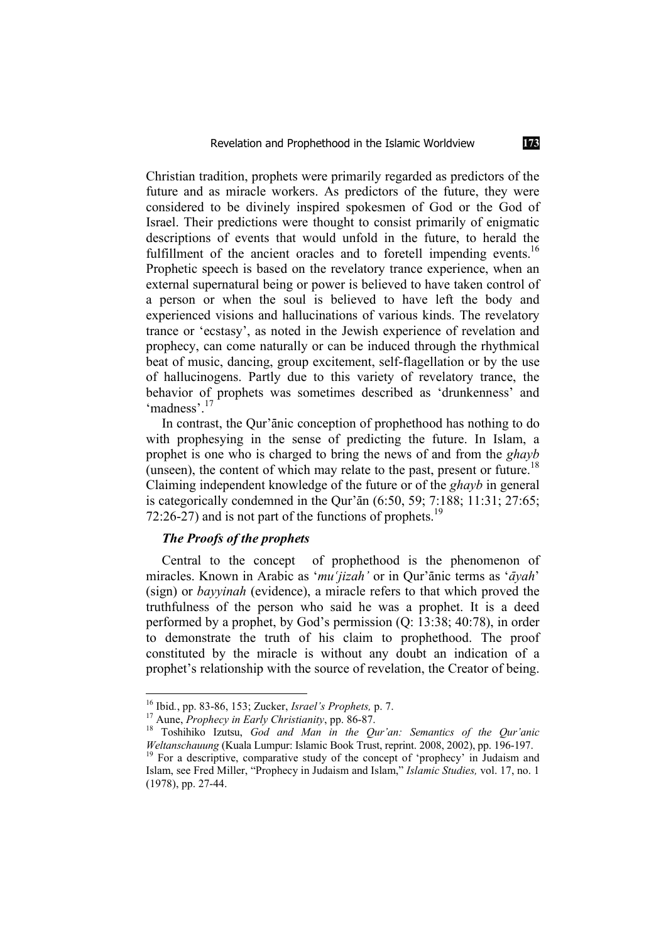Christian tradition, prophets were primarily regarded as predictors of the future and as miracle workers. As predictors of the future, they were considered to be divinely inspired spokesmen of God or the God of Israel. Their predictions were thought to consist primarily of enigmatic descriptions of events that would unfold in the future, to herald the fulfillment of the ancient oracles and to foretell impending events.<sup>16</sup> Prophetic speech is based on the revelatory trance experience, when an external supernatural being or power is believed to have taken control of a person or when the soul is believed to have left the body and experienced visions and hallucinations of various kinds. The revelatory trance or 'ecstasy', as noted in the Jewish experience of revelation and prophecy, can come naturally or can be induced through the rhythmical beat of music, dancing, group excitement, self-flagellation or by the use of hallucinogens. Partly due to this variety of revelatory trance, the behavior of prophets was sometimes described as 'drunkenness' and 'madness'.<sup>17</sup>

In contrast, the Qur'anic conception of prophethood has nothing to do with prophesying in the sense of predicting the future. In Islam, a prophet is one who is charged to bring the news of and from the *ghayb* (unseen), the content of which may relate to the past, present or future.<sup>18</sup> Claiming independent knowledge of the future or of the *ghayb* in general is categorically condemned in the Qur'an  $(6:50, 59; 7:188; 11:31; 27:65;$ 72:26-27) and is not part of the functions of prophets.<sup>19</sup>

# *The Proofs of the prophets*

Central to the concept of prophethood is the phenomenon of miracles. Known in Arabic as '*mu'jizah'* or in Qur'ānic terms as '*āyah*' (sign) or *bayyinah* (evidence), a miracle refers to that which proved the truthfulness of the person who said he was a prophet. It is a deed performed by a prophet, by God's permission (Q: 13:38; 40:78), in order to demonstrate the truth of his claim to prophethood. The proof constituted by the miracle is without any doubt an indication of a prophet's relationship with the source of revelation, the Creator of being.

<sup>&</sup>lt;sup>16</sup> Ibid., pp. 83-86, 153; Zucker, *Israel's Prophets*, p. 7.<br><sup>17</sup> Aune, *Prophecy in Early Christianity*, pp. 86-87.<br><sup>18</sup> Toshihiko Izutsu, *God and Man in the Qur'an: Semantics of the Qur'anic <i>Weltanschauung* (Kuala Lu <sup>19</sup> For a descriptive, comparative study of the concept of 'prophecy' in Judaism and

Islam, see Fred Miller, "Prophecy in Judaism and Islam," *Islamic Studies,* vol. 17, no. 1 (1978), pp. 27-44.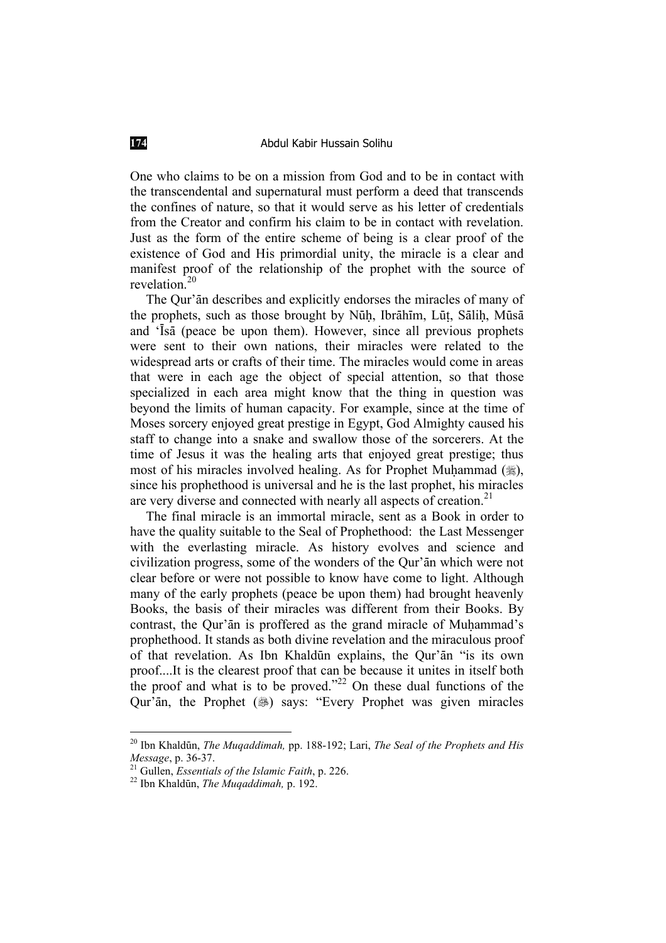One who claims to be on a mission from God and to be in contact with the transcendental and supernatural must perform a deed that transcends the confines of nature, so that it would serve as his letter of credentials from the Creator and confirm his claim to be in contact with revelation. Just as the form of the entire scheme of being is a clear proof of the existence of God and His primordial unity, the miracle is a clear and manifest proof of the relationship of the prophet with the source of revelation.<sup>20</sup>

The Qur'an describes and explicitly endorses the miracles of many of the prophets, such as those brought by Nūḥ, Ibrāhīm, Lūṭ, Sāliḥ, Mūsā and 'Isa (peace be upon them). However, since all previous prophets were sent to their own nations, their miracles were related to the widespread arts or crafts of their time. The miracles would come in areas that were in each age the object of special attention, so that those specialized in each area might know that the thing in question was beyond the limits of human capacity. For example, since at the time of Moses sorcery enjoyed great prestige in Egypt, God Almighty caused his staff to change into a snake and swallow those of the sorcerers. At the time of Jesus it was the healing arts that enjoyed great prestige; thus most of his miracles involved healing. As for Prophet Muhammad (.), since his prophethood is universal and he is the last prophet, his miracles are very diverse and connected with nearly all aspects of creation.<sup>21</sup>

The final miracle is an immortal miracle, sent as a Book in order to have the quality suitable to the Seal of Prophethood: the Last Messenger with the everlasting miracle. As history evolves and science and civilization progress, some of the wonders of the Qur'an which were not clear before or were not possible to know have come to light. Although many of the early prophets (peace be upon them) had brought heavenly Books, the basis of their miracles was different from their Books. By contrast, the Our'an is proffered as the grand miracle of Muhammad's prophethood. It stands as both divine revelation and the miraculous proof of that revelation. As Ibn Khaldūn explains, the Qur'an "is its own proof....It is the clearest proof that can be because it unites in itself both the proof and what is to be proved."<sup>22</sup> On these dual functions of the Qur'an, the Prophet (38) says: "Every Prophet was given miracles

<sup>20</sup> Ibn KhaldËn, *The Muqaddimah,* pp. 188-192; Lari, *The Seal of the Prophets and His Message*, p. 36-37.<br><sup>21</sup> Gullen, *Essentials of the Islamic Faith*, p. 226.<br><sup>22</sup> Ibn Khaldūn, *The Muqaddimah*, p. 192.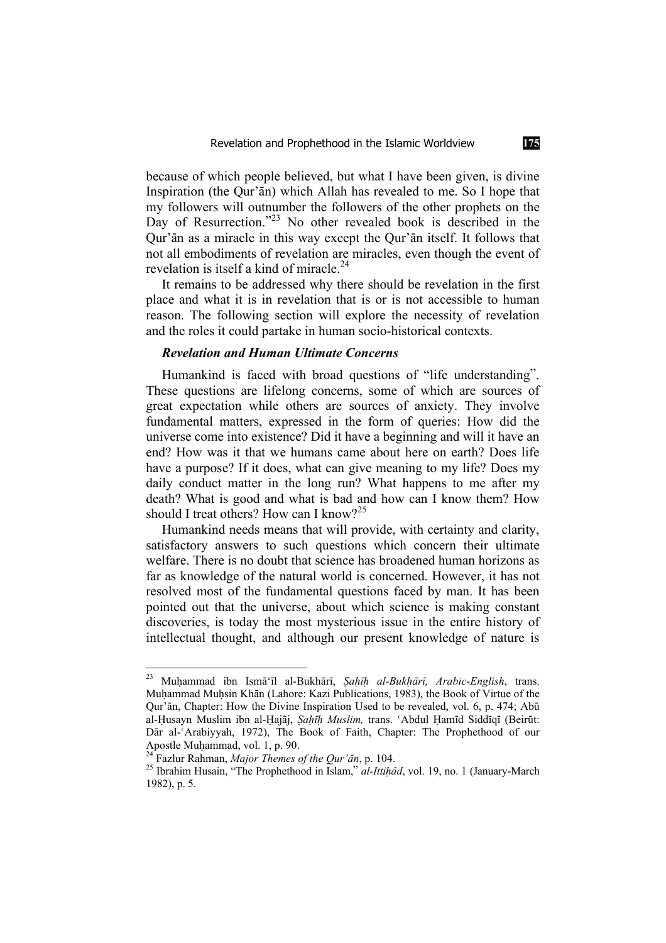because of which people believed, but what I have been given, is divine Inspiration (the Our'an) which Allah has revealed to me. So I hope that my followers will outnumber the followers of the other prophets on the Day of Resurrection.<sup>"23</sup> No other revealed book is described in the Qur'an as a miracle in this way except the Qur'an itself. It follows that not all embodiments of revelation are miracles, even though the event of revelation is itself a kind of miracle.<sup>24</sup>

It remains to be addressed why there should be revelation in the first place and what it is in revelation that is or is not accessible to human reason. The following section will explore the necessity of revelation and the roles it could partake in human socio-historical contexts.

## *Revelation and Human Ultimate Concerns*

Humankind is faced with broad questions of "life understanding". These questions are lifelong concerns, some of which are sources of great expectation while others are sources of anxiety. They involve fundamental matters, expressed in the form of queries: How did the universe come into existence? Did it have a beginning and will it have an end? How was it that we humans came about here on earth? Does life have a purpose? If it does, what can give meaning to my life? Does my daily conduct matter in the long run? What happens to me after my death? What is good and what is bad and how can I know them? How should I treat others? How can I know?<sup>25</sup>

Humankind needs means that will provide, with certainty and clarity, satisfactory answers to such questions which concern their ultimate welfare. There is no doubt that science has broadened human horizons as far as knowledge of the natural world is concerned. However, it has not resolved most of the fundamental questions faced by man. It has been pointed out that the universe, about which science is making constant discoveries, is today the most mysterious issue in the entire history of intellectual thought, and although our present knowledge of nature is

<sup>&</sup>lt;sup>23</sup> Muhammad ibn Ismā'īl al-Bukhārī, *Sahīh al-Bukhārī, Arabic-English*, trans. Muhammad Muhsin Khān (Lahore: Kazi Publications, 1983), the Book of Virtue of the Qur'an, Chapter: How the Divine Inspiration Used to be revealed, vol. 6, p. 474; Abū al-Husayn Muslim ibn al-Hajāj, *Sahīh Muslim*, trans. ʿAbdul Hamīd Siddīqī (Beirūt: Dār al-ʿArabiyyah, 1972), The Book of Faith, Chapter: The Prophethood of our Apostle Muḥammad, vol. 1, p. 90.<br><sup>24</sup> Fazlur Rahman, *Major Themes of the Qur'ān*, p. 104.

<sup>&</sup>lt;sup>25</sup> Ibrahim Husain, "The Prophethood in Islam," *al-Ittihād*, vol. 19, no. 1 (January-March 1982), p. 5.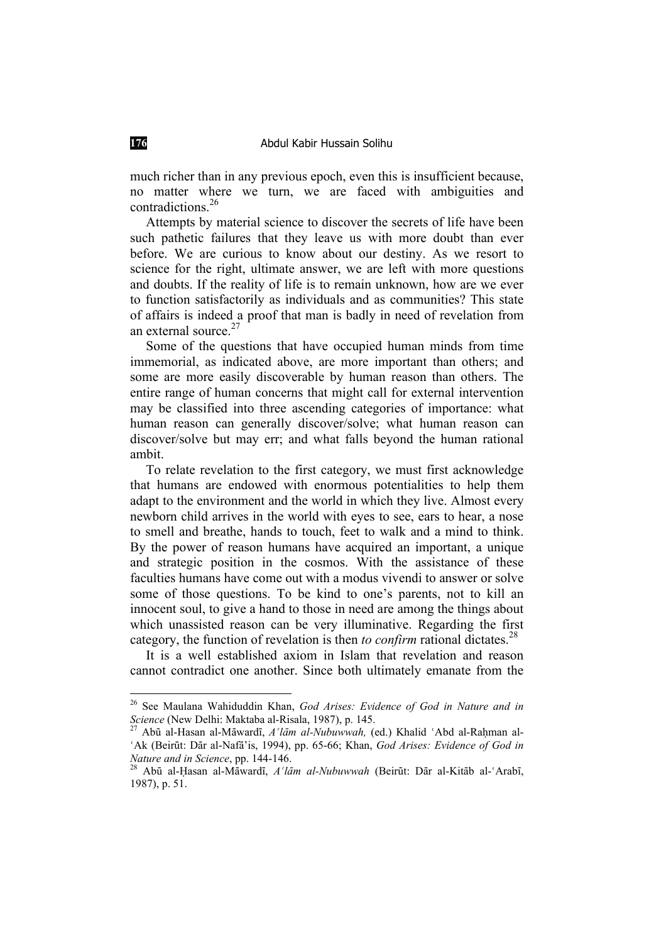much richer than in any previous epoch, even this is insufficient because, no matter where we turn, we are faced with ambiguities and contradictions.<sup>26</sup>

Attempts by material science to discover the secrets of life have been such pathetic failures that they leave us with more doubt than ever before. We are curious to know about our destiny. As we resort to science for the right, ultimate answer, we are left with more questions and doubts. If the reality of life is to remain unknown, how are we ever to function satisfactorily as individuals and as communities? This state of affairs is indeed a proof that man is badly in need of revelation from an external source.<sup>27</sup>

Some of the questions that have occupied human minds from time immemorial, as indicated above, are more important than others; and some are more easily discoverable by human reason than others. The entire range of human concerns that might call for external intervention may be classified into three ascending categories of importance: what human reason can generally discover/solve; what human reason can discover/solve but may err; and what falls beyond the human rational ambit.

To relate revelation to the first category, we must first acknowledge that humans are endowed with enormous potentialities to help them adapt to the environment and the world in which they live. Almost every newborn child arrives in the world with eyes to see, ears to hear, a nose to smell and breathe, hands to touch, feet to walk and a mind to think. By the power of reason humans have acquired an important, a unique and strategic position in the cosmos. With the assistance of these faculties humans have come out with a modus vivendi to answer or solve some of those questions. To be kind to one's parents, not to kill an innocent soul, to give a hand to those in need are among the things about which unassisted reason can be very illuminative. Regarding the first category, the function of revelation is then *to confirm* rational dictates.<sup>28</sup>

It is a well established axiom in Islam that revelation and reason cannot contradict one another. Since both ultimately emanate from the

<sup>&</sup>lt;sup>26</sup> See Maulana Wahiduddin Khan, *God Arises: Evidence of God in Nature and in Science* (New Delhi: Maktaba al-Risala, 1987), p. 145.

<sup>&</sup>lt;sup>27</sup> Abū al-Hasan al-Māwardī, *A'lām al-Nubuwwah*, (ed.) Khalid 'Abd al-Raḥman al-<sup>'</sup>Ak (Beirūt: Dār al-Nafā'is, 1994), pp. 65-66; Khan, *God Arises: Evidence of God in Nature and in Science*, pp. 144-146.<br><sup>28</sup> Abū al-Hasan al-Māwardī, *A'lām al-Nubuwwah* (Beirūt: Dār al-Kitāb al-ʿArabī,

<sup>1987),</sup> p. 51.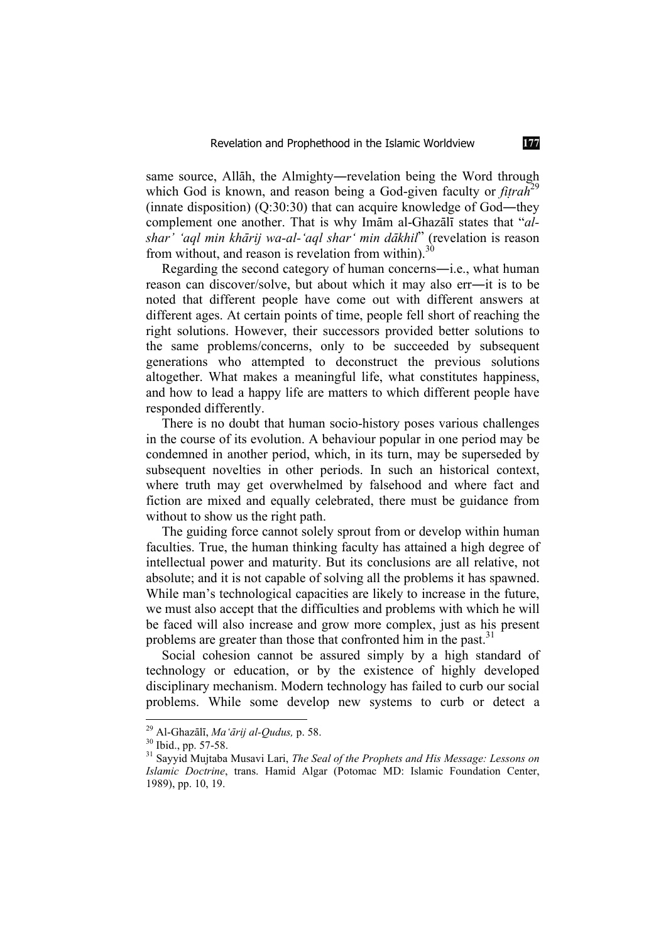same source, Allāh, the Almighty—revelation being the Word through which God is known, and reason being a God-given faculty or *fitrah*<sup>29</sup> (innate disposition)  $(Q:30:30)$  that can acquire knowledge of God—they complement one another. That is why Imam al-Ghazali states that "*al*shar' 'aql min khārij wa-al-'aql shar' min dākhil" (revelation is reason from without, and reason is revelation from within).<sup>30</sup>

Regarding the second category of human concerns—i.e., what human reason can discover/solve, but about which it may also err--it is to be noted that different people have come out with different answers at different ages. At certain points of time, people fell short of reaching the right solutions. However, their successors provided better solutions to the same problems/concerns, only to be succeeded by subsequent generations who attempted to deconstruct the previous solutions altogether. What makes a meaningful life, what constitutes happiness, and how to lead a happy life are matters to which different people have responded differently.

There is no doubt that human socio-history poses various challenges in the course of its evolution. A behaviour popular in one period may be condemned in another period, which, in its turn, may be superseded by subsequent novelties in other periods. In such an historical context, where truth may get overwhelmed by falsehood and where fact and fiction are mixed and equally celebrated, there must be guidance from without to show us the right path.

The guiding force cannot solely sprout from or develop within human faculties. True, the human thinking faculty has attained a high degree of intellectual power and maturity. But its conclusions are all relative, not absolute; and it is not capable of solving all the problems it has spawned. While man's technological capacities are likely to increase in the future, we must also accept that the difficulties and problems with which he will be faced will also increase and grow more complex, just as his present problems are greater than those that confronted him in the past.<sup>31</sup>

Social cohesion cannot be assured simply by a high standard of technology or education, or by the existence of highly developed disciplinary mechanism. Modern technology has failed to curb our social problems. While some develop new systems to curb or detect a

<sup>&</sup>lt;sup>29</sup> Al-Ghazālī, *Ma'ārij al-Qudus, p. 58.*<br><sup>30</sup> Ibid., pp. 57-58.<br><sup>31</sup> Sayyid Mujtaba Musavi Lari, *The Seal of the Prophets and His Message: Lessons on Islamic Doctrine*, trans. Hamid Algar (Potomac MD: Islamic Foundation Center, 1989), pp. 10, 19.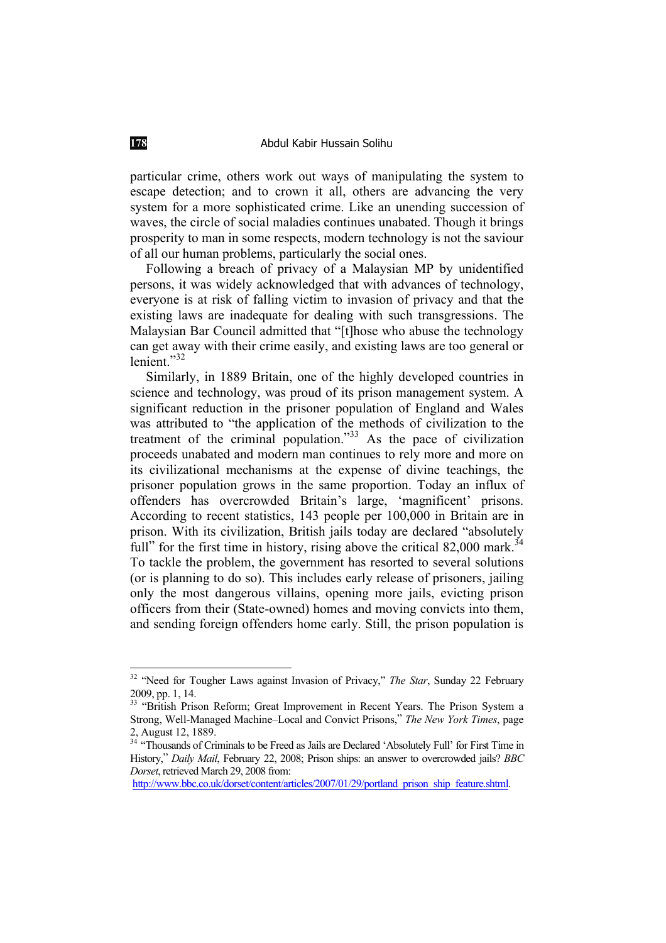particular crime, others work out ways of manipulating the system to escape detection; and to crown it all, others are advancing the very system for a more sophisticated crime. Like an unending succession of waves, the circle of social maladies continues unabated. Though it brings prosperity to man in some respects, modern technology is not the saviour of all our human problems, particularly the social ones.

Following a breach of privacy of a Malaysian MP by unidentified persons, it was widely acknowledged that with advances of technology, everyone is at risk of falling victim to invasion of privacy and that the existing laws are inadequate for dealing with such transgressions. The Malaysian Bar Council admitted that "[t]hose who abuse the technology can get away with their crime easily, and existing laws are too general or lenient."32

Similarly, in 1889 Britain, one of the highly developed countries in science and technology, was proud of its prison management system. A significant reduction in the prisoner population of England and Wales was attributed to "the application of the methods of civilization to the treatment of the criminal population."<sup>33</sup> As the pace of civilization proceeds unabated and modern man continues to rely more and more on its civilizational mechanisms at the expense of divine teachings, the prisoner population grows in the same proportion. Today an influx of offenders has overcrowded Britain's large, 'magnificent' prisons. According to recent statistics, 143 people per 100,000 in Britain are in prison. With its civilization, British jails today are declared "absolutely full" for the first time in history, rising above the critical 82,000 mark.<sup>34</sup> To tackle the problem, the government has resorted to several solutions (or is planning to do so). This includes early release of prisoners, jailing only the most dangerous villains, opening more jails, evicting prison officers from their (State-owned) homes and moving convicts into them, and sending foreign offenders home early. Still, the prison population is

<sup>&</sup>lt;sup>32</sup> "Need for Tougher Laws against Invasion of Privacy," *The Star*, Sunday 22 February 2009, pp. 1, 14.

<sup>&</sup>lt;sup>33</sup> "British Prison Reform; Great Improvement in Recent Years. The Prison System a Strong, Well-Managed Machine–Local and Convict Prisons," *The New York Times*, page 2, August 12, 1889.

<sup>&</sup>lt;sup>34</sup> "Thousands of Criminals to be Freed as Jails are Declared 'Absolutely Full' for First Time in History," *Daily Mail*, February 22, 2008; Prison ships: an answer to overcrowded jails? *BBC Dorset*, retrieved March 29, 2008 from:

http://www.bbc.co.uk/dorset/content/articles/2007/01/29/portland\_prison\_ship\_feature.shtml.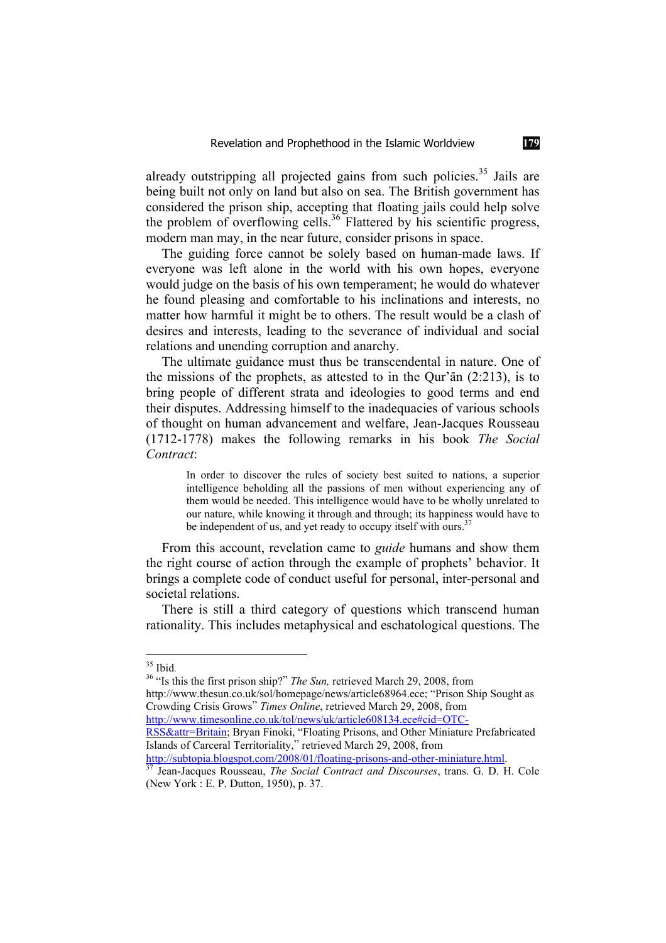already outstripping all projected gains from such policies.<sup>35</sup> Jails are being built not only on land but also on sea. The British government has considered the prison ship, accepting that floating jails could help solve the problem of overflowing cells.<sup>36</sup> Flattered by his scientific progress, modern man may, in the near future, consider prisons in space.

The guiding force cannot be solely based on human-made laws. If everyone was left alone in the world with his own hopes, everyone would judge on the basis of his own temperament; he would do whatever he found pleasing and comfortable to his inclinations and interests, no matter how harmful it might be to others. The result would be a clash of desires and interests, leading to the severance of individual and social relations and unending corruption and anarchy.

The ultimate guidance must thus be transcendental in nature. One of the missions of the prophets, as attested to in the Qur' $\bar{a}$ n (2:213), is to bring people of different strata and ideologies to good terms and end their disputes. Addressing himself to the inadequacies of various schools of thought on human advancement and welfare, Jean-Jacques Rousseau (1712-1778) makes the following remarks in his book *The Social Contract*:

In order to discover the rules of society best suited to nations, a superior intelligence beholding all the passions of men without experiencing any of them would be needed. This intelligence would have to be wholly unrelated to our nature, while knowing it through and through; its happiness would have to be independent of us, and yet ready to occupy itself with ours.<sup>37</sup>

From this account, revelation came to *guide* humans and show them the right course of action through the example of prophets' behavior. It brings a complete code of conduct useful for personal, inter-personal and societal relations.

There is still a third category of questions which transcend human rationality. This includes metaphysical and eschatological questions. The

<sup>35</sup> Ibid*.* 36 "Is this the first prison ship?" *The Sun,* retrieved March 29, 2008, from

http://www.thesun.co.uk/sol/homepage/news/article68964.ece; "Prison Ship Sought as Crowding Crisis Grows" *Times Online*, retrieved March 29, 2008, from

http://www.timesonline.co.uk/tol/news/uk/article608134.ece#cid=OTC-

RSS&attr=Britain; Bryan Finoki, "Floating Prisons, and Other Miniature Prefabricated Islands of Carceral Territoriality," retrieved March 29, 2008, from

http://subtopia.blogspot.com/2008/01/floating-prisons-and-other-miniature.html. 37 Jean-Jacques Rousseau, *The Social Contract and Discourses*, trans. G. D. H. Cole

<sup>(</sup>New York : E. P. Dutton, 1950), p. 37.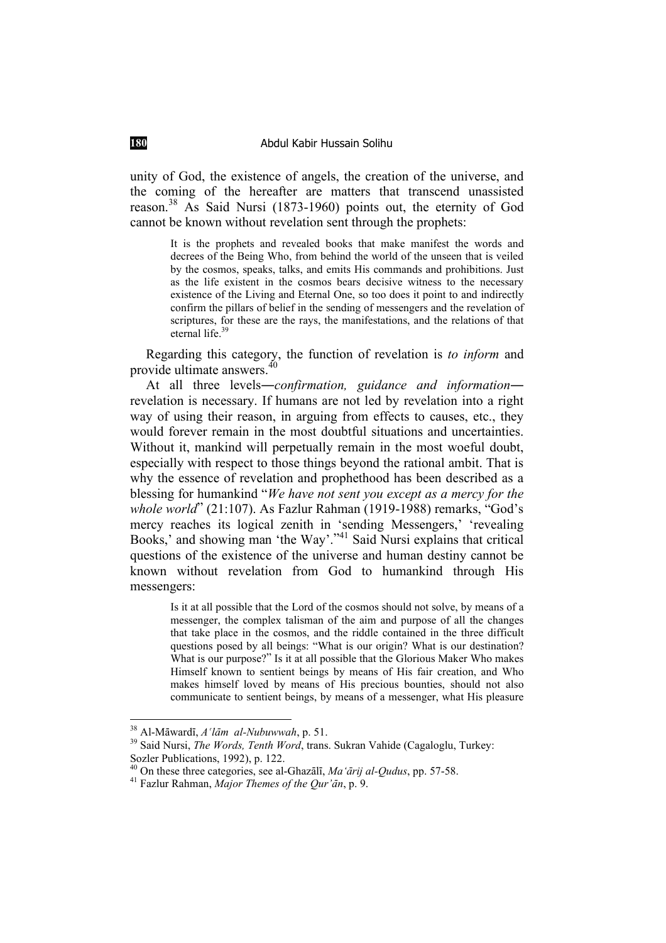unity of God, the existence of angels, the creation of the universe, and the coming of the hereafter are matters that transcend unassisted reason.38 As Said Nursi (1873-1960) points out, the eternity of God cannot be known without revelation sent through the prophets:

> It is the prophets and revealed books that make manifest the words and decrees of the Being Who, from behind the world of the unseen that is veiled by the cosmos, speaks, talks, and emits His commands and prohibitions. Just as the life existent in the cosmos bears decisive witness to the necessary existence of the Living and Eternal One, so too does it point to and indirectly confirm the pillars of belief in the sending of messengers and the revelation of scriptures, for these are the rays, the manifestations, and the relations of that eternal life.<sup>39</sup>

Regarding this category, the function of revelation is *to inform* and provide ultimate answers.<sup>40</sup>

At all three levels—*confirmation, guidance and information* revelation is necessary. If humans are not led by revelation into a right way of using their reason, in arguing from effects to causes, etc., they would forever remain in the most doubtful situations and uncertainties. Without it, mankind will perpetually remain in the most woeful doubt, especially with respect to those things beyond the rational ambit. That is why the essence of revelation and prophethood has been described as a blessing for humankind "*We have not sent you except as a mercy for the whole world*" (21:107). As Fazlur Rahman (1919-1988) remarks, "God's mercy reaches its logical zenith in 'sending Messengers,' 'revealing Books,' and showing man 'the Way'."<sup>41</sup> Said Nursi explains that critical questions of the existence of the universe and human destiny cannot be known without revelation from God to humankind through His messengers:

> Is it at all possible that the Lord of the cosmos should not solve, by means of a messenger, the complex talisman of the aim and purpose of all the changes that take place in the cosmos, and the riddle contained in the three difficult questions posed by all beings: "What is our origin? What is our destination? What is our purpose?" Is it at all possible that the Glorious Maker Who makes Himself known to sentient beings by means of His fair creation, and Who makes himself loved by means of His precious bounties, should not also communicate to sentient beings, by means of a messenger, what His pleasure

<sup>&</sup>lt;sup>38</sup> Al-Māwardī, *A'lām al-Nubuwwah*, p. 51.<br><sup>39</sup> Said Nursi, *The Words, Tenth Word*, trans. Sukran Vahide (Cagaloglu, Turkey: Sozler Publications, 1992), p. 122.

<sup>&</sup>lt;sup>40</sup> On these three categories, see al-Ghazālī, *Ma'ārij al-Qudus*, pp. 57-58.<br><sup>41</sup> Fazlur Rahman, *Major Themes of the Qur'ān*, p. 9.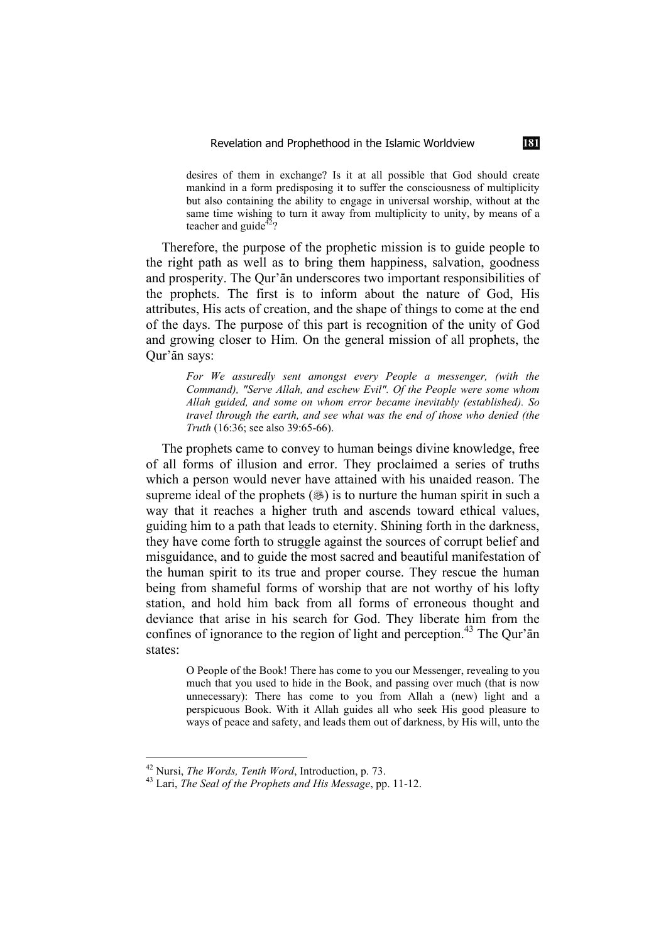desires of them in exchange? Is it at all possible that God should create mankind in a form predisposing it to suffer the consciousness of multiplicity but also containing the ability to engage in universal worship, without at the same time wishing to turn it away from multiplicity to unity, by means of a teacher and guide<sup>42</sup>?

Therefore, the purpose of the prophetic mission is to guide people to the right path as well as to bring them happiness, salvation, goodness and prosperity. The Qur'an underscores two important responsibilities of the prophets. The first is to inform about the nature of God, His attributes, His acts of creation, and the shape of things to come at the end of the days. The purpose of this part is recognition of the unity of God and growing closer to Him. On the general mission of all prophets, the Qur'ān says:

> *For We assuredly sent amongst every People a messenger, (with the Command), "Serve Allah, and eschew Evil". Of the People were some whom Allah guided, and some on whom error became inevitably (established). So travel through the earth, and see what was the end of those who denied (the Truth* (16:36; see also 39:65-66).

The prophets came to convey to human beings divine knowledge, free of all forms of illusion and error. They proclaimed a series of truths which a person would never have attained with his unaided reason. The supreme ideal of the prophets  $(\circledast)$  is to nurture the human spirit in such a way that it reaches a higher truth and ascends toward ethical values, guiding him to a path that leads to eternity. Shining forth in the darkness, they have come forth to struggle against the sources of corrupt belief and misguidance, and to guide the most sacred and beautiful manifestation of the human spirit to its true and proper course. They rescue the human being from shameful forms of worship that are not worthy of his lofty station, and hold him back from all forms of erroneous thought and deviance that arise in his search for God. They liberate him from the confines of ignorance to the region of light and perception.<sup>43</sup> The Our' $\bar{a}$ n states:

O People of the Book! There has come to you our Messenger, revealing to you much that you used to hide in the Book, and passing over much (that is now unnecessary): There has come to you from Allah a (new) light and a perspicuous Book. With it Allah guides all who seek His good pleasure to ways of peace and safety, and leads them out of darkness, by His will, unto the

<sup>42</sup> Nursi, *The Words, Tenth Word*, Introduction, p. 73. 43 Lari, *The Seal of the Prophets and His Message*, pp. 11-12.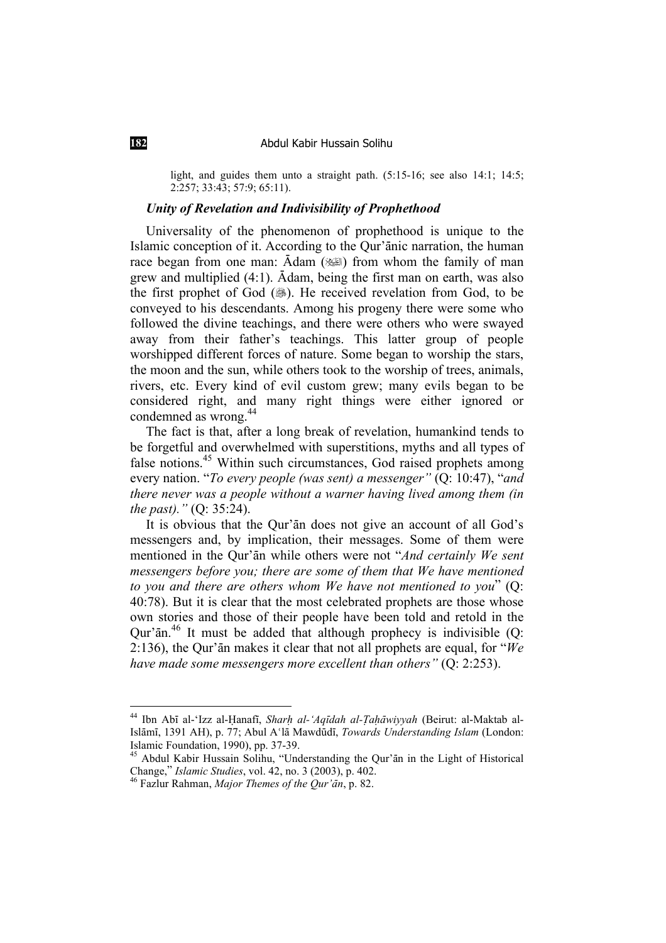light, and guides them unto a straight path. (5:15-16; see also 14:1; 14:5; 2:257; 33:43; 57:9; 65:11).

### *Unity of Revelation and Indivisibility of Prophethood*

Universality of the phenomenon of prophethood is unique to the Islamic conception of it. According to the Qur'anic narration, the human race began from one man:  $\bar{A}$ dam ( $\equiv$ ) from whom the family of man grew and multiplied  $(4:1)$ .  $\bar{A}$ dam, being the first man on earth, was also the first prophet of God (...). He received revelation from God, to be conveyed to his descendants. Among his progeny there were some who followed the divine teachings, and there were others who were swayed away from their father's teachings. This latter group of people worshipped different forces of nature. Some began to worship the stars, the moon and the sun, while others took to the worship of trees, animals, rivers, etc. Every kind of evil custom grew; many evils began to be considered right, and many right things were either ignored or condemned as wrong.<sup>44</sup>

The fact is that, after a long break of revelation, humankind tends to be forgetful and overwhelmed with superstitions, myths and all types of false notions.<sup>45</sup> Within such circumstances, God raised prophets among every nation. "*To every people (was sent) a messenger"* (Q: 10:47), "*and there never was a people without a warner having lived among them (in the past)."* (Q: 35:24).

It is obvious that the Our'an does not give an account of all God's messengers and, by implication, their messages. Some of them were mentioned in the Qur'an while others were not "*And certainly We sent messengers before you; there are some of them that We have mentioned to you and there are others whom We have not mentioned to you*" (Q: 40:78). But it is clear that the most celebrated prophets are those whose own stories and those of their people have been told and retold in the  $Our<sup>7</sup>an<sup>46</sup>$  It must be added that although prophecy is indivisible (Q: 2:136), the Qur' $\bar{a}$ n makes it clear that not all prophets are equal, for " $\dot{W}e$ *have made some messengers more excellent than others"* (Q: 2:253).

<sup>&</sup>lt;sup>44</sup> Ibn Abī al-'Izz al-Hanafī, *Sharḥ al-'Aqīdah al-Taḥāwiyyah* (Beirut: al-Maktab al-Islāmī, 1391 AH), p. 77; Abul A'lā Mawdūdī, *Towards Understanding Islam* (London: Islamic Foundation, 1990), pp. 37-39.

<sup>&</sup>lt;sup>45</sup> Abdul Kabir Hussain Solihu, "Understanding the Qur'ān in the Light of Historical Change," *Islamic Studies*, vol. 42, no. 3 (2003), p. 402.

<sup>&</sup>lt;sup>46</sup> Fazlur Rahman, *Major Themes of the Qur'ān*, p. 82.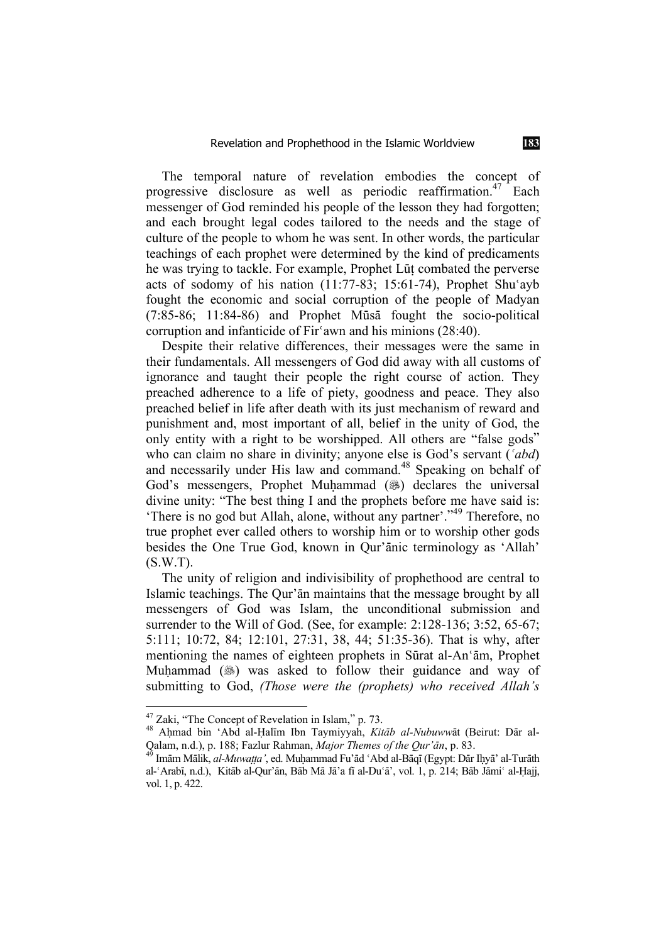The temporal nature of revelation embodies the concept of progressive disclosure as well as periodic reaffirmation.<sup>47</sup> Each messenger of God reminded his people of the lesson they had forgotten; and each brought legal codes tailored to the needs and the stage of culture of the people to whom he was sent. In other words, the particular teachings of each prophet were determined by the kind of predicaments he was trying to tackle. For example, Prophet Lut combated the perverse acts of sodomy of his nation  $(11:77-83; 15:61-74)$ , Prophet Shu'ayb fought the economic and social corruption of the people of Madyan  $(7:85-86; 11:84-86)$  and Prophet Musa fought the socio-political corruption and infanticide of Fir'awn and his minions (28:40).

Despite their relative differences, their messages were the same in their fundamentals. All messengers of God did away with all customs of ignorance and taught their people the right course of action. They preached adherence to a life of piety, goodness and peace. They also preached belief in life after death with its just mechanism of reward and punishment and, most important of all, belief in the unity of God, the only entity with a right to be worshipped. All others are "false gods" who can claim no share in divinity; anyone else is God's servant ('abd) and necessarily under His law and command.<sup>48</sup> Speaking on behalf of God's messengers, Prophet Muhammad (.) declares the universal divine unity: "The best thing I and the prophets before me have said is: 'There is no god but Allah, alone, without any partner'."49 Therefore, no true prophet ever called others to worship him or to worship other gods besides the One True God, known in Our'anic terminology as 'Allah' (S.W.T).

The unity of religion and indivisibility of prophethood are central to Islamic teachings. The Qur'an maintains that the message brought by all messengers of God was Islam, the unconditional submission and surrender to the Will of God. (See, for example: 2:128-136; 3:52, 65-67; 5:111; 10:72, 84; 12:101, 27:31, 38, 44; 51:35-36). That is why, after mentioning the names of eighteen prophets in Sūrat al-An'ām, Prophet Muhammad (.) was asked to follow their guidance and way of submitting to God, *(Those were the (prophets) who received Allah's* 

 $47$  Zaki, "The Concept of Revelation in Islam," p. 73.

<sup>&</sup>lt;sup>48</sup> Ahmad bin 'Abd al-Halīm Ibn Taymiyyah, *Kitāb al-Nubuwwā*t (Beirut: Dār al-Qalam, n.d.), p. 188; Fazlur Rahman, *Major Themes of the Qur'ān*, p. 83.<br><sup>49</sup> Imām Mālik, *al-Muwaṭṭa'*, ed. Muḥammad Fu'ād ʿAbd al-Bāqī (Egypt: Dār Ihyā' al-Turāth

al-ʿArabī, n.d.), Kitāb al-Qur'ān, Bāb Mā Jā'a fī al-Du'ā', vol. 1, p. 214; Bāb Jāmiʿ al-Ḥajj, vol. 1, p. 422.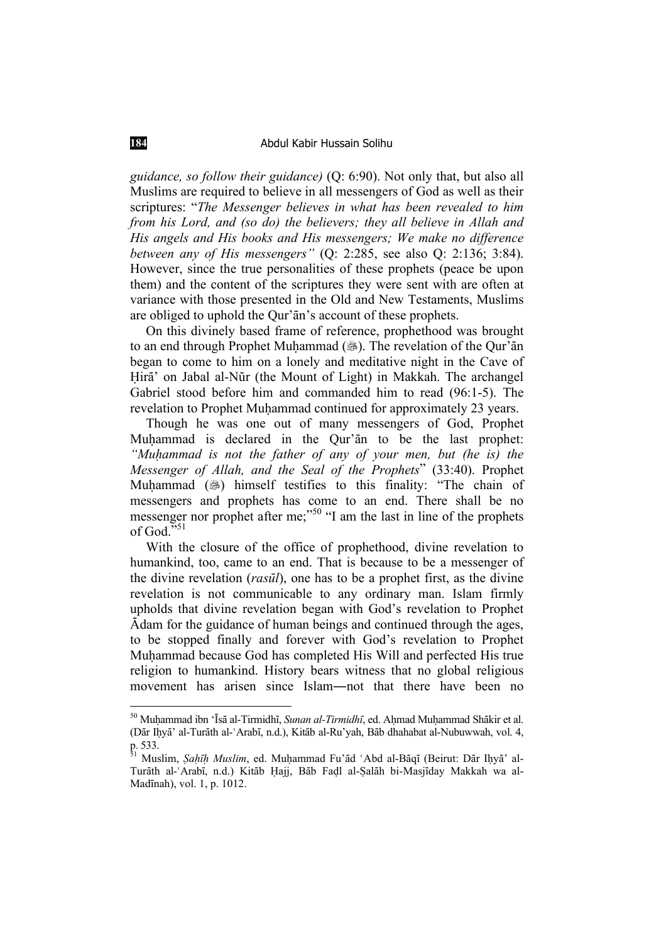*guidance, so follow their guidance)* (Q: 6:90). Not only that, but also all Muslims are required to believe in all messengers of God as well as their scriptures: "*The Messenger believes in what has been revealed to him from his Lord, and (so do) the believers; they all believe in Allah and His angels and His books and His messengers; We make no difference between any of His messengers"* (Q: 2:285, see also Q: 2:136; 3:84). However, since the true personalities of these prophets (peace be upon them) and the content of the scriptures they were sent with are often at variance with those presented in the Old and New Testaments, Muslims are obliged to uphold the Qur'an's account of these prophets.

On this divinely based frame of reference, prophethood was brought to an end through Prophet Muḥammad (...). The revelation of the Qur'an began to come to him on a lonely and meditative night in the Cave of Hirā' on Jabal al-Nūr (the Mount of Light) in Makkah. The archangel Gabriel stood before him and commanded him to read (96:1-5). The revelation to Prophet Muhammad continued for approximately 23 years.

Though he was one out of many messengers of God, Prophet Muhammad is declared in the Our'an to be the last prophet: *"Muhammad is not the father of any of your men, but (he is) the Messenger of Allah, and the Seal of the Prophets*" (33:40). Prophet Muhammad () himself testifies to this finality: "The chain of messengers and prophets has come to an end. There shall be no messenger nor prophet after me;<sup>"50</sup> "I am the last in line of the prophets of God. $5.51$ 

With the closure of the office of prophethood, divine revelation to humankind, too, came to an end. That is because to be a messenger of the divine revelation (*rasËl*), one has to be a prophet first, as the divine revelation is not communicable to any ordinary man. Islam firmly upholds that divine revelation began with God's revelation to Prophet  $\bar{A}$ dam for the guidance of human beings and continued through the ages, to be stopped finally and forever with God's revelation to Prophet Muhammad because God has completed His Will and perfected His true religion to humankind. History bears witness that no global religious movement has arisen since Islam—not that there have been no

<sup>&</sup>lt;sup>50</sup> Muhammad ibn 'Īsā al-Tirmidhī, *Sunan al-Tirmidhī*, ed. Aḥmad Muḥammad Shākir et al. (Dār Ihyā' al-Turāth al-ʿArabī, n.d.), Kitāb al-Ru'yah, Bāb dhahabat al-Nubuwwah, vol. 4, p. 533.

<sup>&</sup>lt;sup>51</sup> Muslim, *Şaḥīḥ Muslim*, ed. Muḥammad Fu'ād ʿAbd al-Bāqī (Beirut: Dār Iḥyā' al-Turāth al-ʿArabī, n.d.) Kitāb Ḥajj, Bāb Faḍl al-Ṣalāh bi-Masjīday Makkah wa al-Madinah), vol. 1, p. 1012.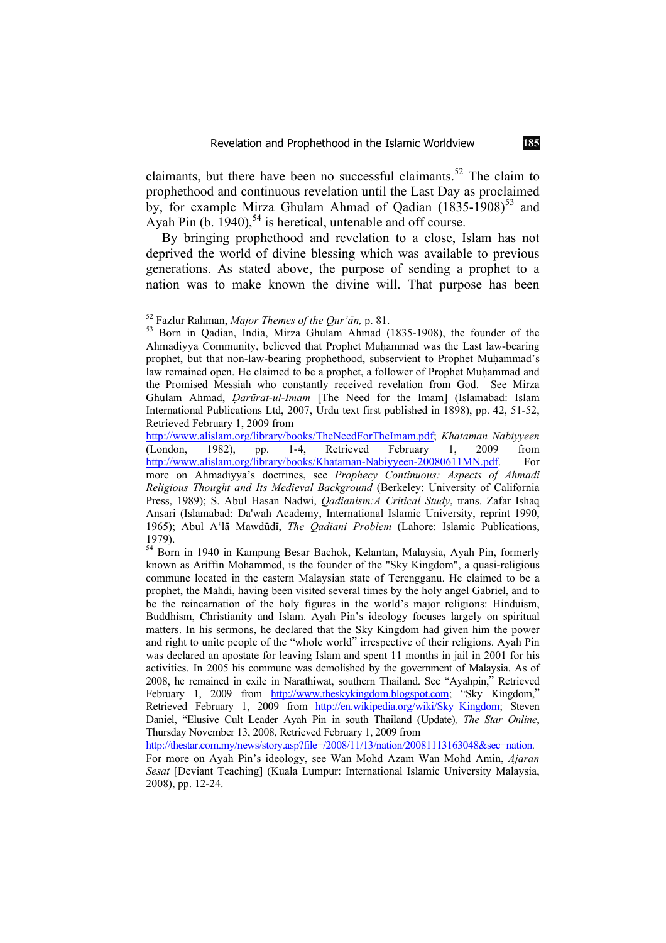claimants, but there have been no successful claimants.<sup>52</sup> The claim to prophethood and continuous revelation until the Last Day as proclaimed by, for example Mirza Ghulam Ahmad of Oadian  $(1835-1908)^{53}$  and Ayah Pin  $(b. 1940)$ ,  $^{54}$  is heretical, untenable and off course.

By bringing prophethood and revelation to a close, Islam has not deprived the world of divine blessing which was available to previous generations. As stated above, the purpose of sending a prophet to a nation was to make known the divine will. That purpose has been

<sup>&</sup>lt;sup>52</sup> Fazlur Rahman, *Major Themes of the Qur'ān*, p. 81.<br><sup>53</sup> Born in Qadian, India, Mirza Ghulam Ahmad (1835-1908), the founder of the Ahmadiyya Community, believed that Prophet Muhammad was the Last law-bearing prophet, but that non-law-bearing prophethood, subservient to Prophet Muhammad's law remained open. He claimed to be a prophet, a follower of Prophet Muhammad and the Promised Messiah who constantly received revelation from God. See Mirza Ghulam Ahmad, *ÖarËrat-ul-Imam* [The Need for the Imam] (Islamabad: Islam International Publications Ltd, 2007, Urdu text first published in 1898), pp. 42, 51-52, Retrieved February 1, 2009 from

http://www.alislam.org/library/books/TheNeedForTheImam.pdf; *Khataman Nabiyyeen* (London, 1982), pp. 1-4, Retrieved February 1, 2009 from http://www.alislam.org/library/books/Khataman-Nabiyyeen-20080611MN.pdf. For more on Ahmadiyya's doctrines, see *Prophecy Continuous: Aspects of Ahmadi Religious Thought and Its Medieval Background* (Berkeley: University of California Press, 1989); S. Abul Hasan Nadwi, *Qadianism:A Critical Study*, trans. Zafar Ishaq Ansari (Islamabad: Da'wah Academy, International Islamic University, reprint 1990, 1965); Abul A'lā Mawdūdī, *The Qadiani Problem* (Lahore: Islamic Publications, 1979).

<sup>&</sup>lt;sup>54</sup> Born in 1940 in Kampung Besar Bachok, Kelantan, Malaysia, Ayah Pin, formerly known as Ariffin Mohammed, is the founder of the "Sky Kingdom", a quasi-religious commune located in the eastern Malaysian state of Terengganu. He claimed to be a prophet, the Mahdi, having been visited several times by the holy angel Gabriel, and to be the reincarnation of the holy figures in the world's major religions: Hinduism, Buddhism, Christianity and Islam. Ayah Pin's ideology focuses largely on spiritual matters. In his sermons, he declared that the Sky Kingdom had given him the power and right to unite people of the "whole world" irrespective of their religions. Ayah Pin was declared an apostate for leaving Islam and spent 11 months in jail in 2001 for his activities. In 2005 his commune was demolished by the government of Malaysia. As of 2008, he remained in exile in Narathiwat, southern Thailand. See "Ayahpin," Retrieved February 1, 2009 from http://www.theskykingdom.blogspot.com; "Sky Kingdom," Retrieved February 1, 2009 from http://en.wikipedia.org/wiki/Sky\_Kingdom; Steven Daniel, "Elusive Cult Leader Ayah Pin in south Thailand (Update)*, The Star Online*, Thursday November 13, 2008, Retrieved February 1, 2009 from

http://thestar.com.my/news/story.asp?file=/2008/11/13/nation/20081113163048&sec=nation. For more on Ayah Pin's ideology, see Wan Mohd Azam Wan Mohd Amin, *Ajaran Sesat* [Deviant Teaching] (Kuala Lumpur: International Islamic University Malaysia, 2008), pp. 12-24.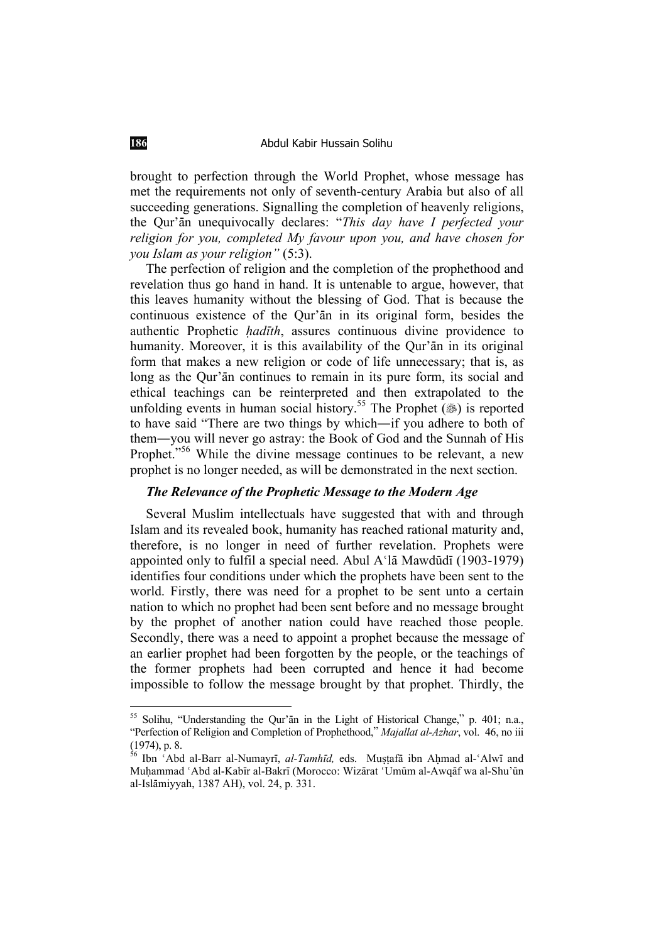brought to perfection through the World Prophet, whose message has met the requirements not only of seventh-century Arabia but also of all succeeding generations. Signalling the completion of heavenly religions, the Qur'an unequivocally declares: "*This day have I perfected your religion for you, completed My favour upon you, and have chosen for you Islam as your religion"* (5:3).

The perfection of religion and the completion of the prophethood and revelation thus go hand in hand. It is untenable to argue, however, that this leaves humanity without the blessing of God. That is because the continuous existence of the Qur'an in its original form, besides the authentic Prophetic *hadīth*, assures continuous divine providence to humanity. Moreover, it is this availability of the Qur'an in its original form that makes a new religion or code of life unnecessary; that is, as long as the Qur'an continues to remain in its pure form, its social and ethical teachings can be reinterpreted and then extrapolated to the unfolding events in human social history.<sup>55</sup> The Prophet ( $\circledast$ ) is reported to have said "There are two things by which—if you adhere to both of them—you will never go astray: the Book of God and the Sunnah of His Prophet."<sup>56</sup> While the divine message continues to be relevant, a new prophet is no longer needed, as will be demonstrated in the next section.

## *The Relevance of the Prophetic Message to the Modern Age*

Several Muslim intellectuals have suggested that with and through Islam and its revealed book, humanity has reached rational maturity and, therefore, is no longer in need of further revelation. Prophets were appointed only to fulfil a special need. Abul  $A'$ lā Mawdūdī (1903-1979) identifies four conditions under which the prophets have been sent to the world. Firstly, there was need for a prophet to be sent unto a certain nation to which no prophet had been sent before and no message brought by the prophet of another nation could have reached those people. Secondly, there was a need to appoint a prophet because the message of an earlier prophet had been forgotten by the people, or the teachings of the former prophets had been corrupted and hence it had become impossible to follow the message brought by that prophet. Thirdly, the

<sup>&</sup>lt;sup>55</sup> Solihu, "Understanding the Our'ān in the Light of Historical Change," p. 401; n.a., "Perfection of Religion and Completion of Prophethood," *Majallat al-Azhar*, vol. 46, no iii (1974), p. 8.

<sup>&</sup>lt;sup>56</sup> Ibn ʿAbd al-Barr al-Numayrī. *al-Tamhīd*. eds. Mustafā ibn Ahmad al-ʿAlwī and Muhammad 'Abd al-Kabīr al-Bakrī (Morocco: Wizārat 'Umūm al-Awqāf wa al-Shu'ūn al-Islāmiyyah, 1387 AH), vol. 24, p. 331.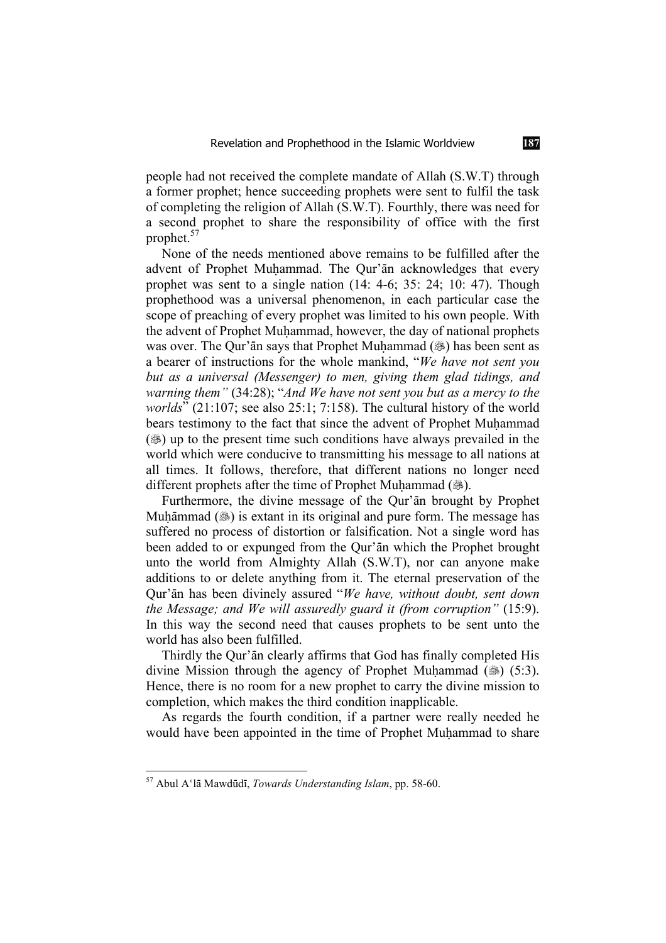people had not received the complete mandate of Allah (S.W.T) through a former prophet; hence succeeding prophets were sent to fulfil the task of completing the religion of Allah (S.W.T). Fourthly, there was need for a second prophet to share the responsibility of office with the first prophet.<sup>57</sup>

None of the needs mentioned above remains to be fulfilled after the advent of Prophet Muhammad. The Qur'an acknowledges that every prophet was sent to a single nation (14: 4-6; 35: 24; 10: 47). Though prophethood was a universal phenomenon, in each particular case the scope of preaching of every prophet was limited to his own people. With the advent of Prophet Muhammad, however, the day of national prophets was over. The Qur'an says that Prophet Muhammad (...) has been sent as a bearer of instructions for the whole mankind, "*We have not sent you but as a universal (Messenger) to men, giving them glad tidings, and warning them"* (34:28); "*And We have not sent you but as a mercy to the worlds*" (21:107; see also 25:1; 7:158). The cultural history of the world bears testimony to the fact that since the advent of Prophet Muhammad  $(\circledast)$  up to the present time such conditions have always prevailed in the world which were conducive to transmitting his message to all nations at all times. It follows, therefore, that different nations no longer need different prophets after the time of Prophet Muhammad (....

Furthermore, the divine message of the Qur'an brought by Prophet Muḥāmmad (3) is extant in its original and pure form. The message has suffered no process of distortion or falsification. Not a single word has been added to or expunged from the Our'an which the Prophet brought unto the world from Almighty Allah (S.W.T), nor can anyone make additions to or delete anything from it. The eternal preservation of the Qur'Én has been divinely assured "*We have, without doubt, sent down the Message; and We will assuredly guard it (from corruption"* (15:9). In this way the second need that causes prophets to be sent unto the world has also been fulfilled.

Thirdly the Qur'an clearly affirms that God has finally completed His divine Mission through the agency of Prophet Muhammad ( $\circledast$ ) (5:3). Hence, there is no room for a new prophet to carry the divine mission to completion, which makes the third condition inapplicable.

As regards the fourth condition, if a partner were really needed he would have been appointed in the time of Prophet Muhammad to share

<sup>&</sup>lt;sup>57</sup> Abul A'lā Mawdūdī, *Towards Understanding Islam*, pp. 58-60.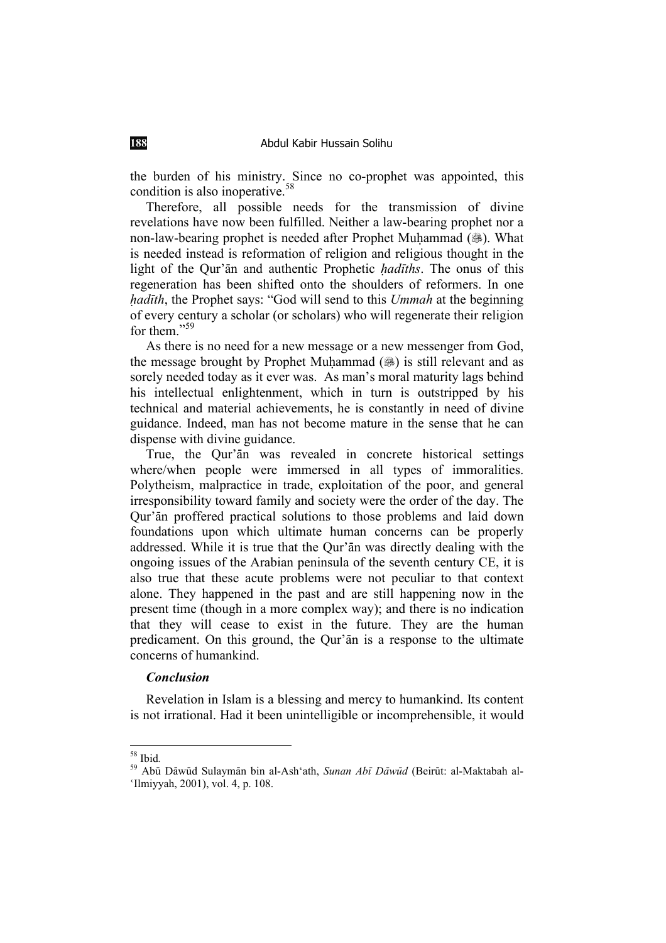the burden of his ministry. Since no co-prophet was appointed, this condition is also inoperative.58

Therefore, all possible needs for the transmission of divine revelations have now been fulfilled. Neither a law-bearing prophet nor a non-law-bearing prophet is needed after Prophet Muhammad (38). What is needed instead is reformation of religion and religious thought in the light of the Qur'an and authentic Prophetic *hadaths*. The onus of this regeneration has been shifted onto the shoulders of reformers. In one *hadīth*, the Prophet says: "God will send to this *Ummah* at the beginning of every century a scholar (or scholars) who will regenerate their religion for them<sup>"</sup>

As there is no need for a new message or a new messenger from God, the message brought by Prophet Muhammad  $(\circledast)$  is still relevant and as sorely needed today as it ever was. As man's moral maturity lags behind his intellectual enlightenment, which in turn is outstripped by his technical and material achievements, he is constantly in need of divine guidance. Indeed, man has not become mature in the sense that he can dispense with divine guidance.

True, the Qur'an was revealed in concrete historical settings where/when people were immersed in all types of immoralities. Polytheism, malpractice in trade, exploitation of the poor, and general irresponsibility toward family and society were the order of the day. The Qur'ān proffered practical solutions to those problems and laid down foundations upon which ultimate human concerns can be properly addressed. While it is true that the Our'an was directly dealing with the ongoing issues of the Arabian peninsula of the seventh century CE, it is also true that these acute problems were not peculiar to that context alone. They happened in the past and are still happening now in the present time (though in a more complex way); and there is no indication that they will cease to exist in the future. They are the human predicament. On this ground, the Qur'an is a response to the ultimate concerns of humankind.

#### *Conclusion*

Revelation in Islam is a blessing and mercy to humankind. Its content is not irrational. Had it been unintelligible or incomprehensible, it would

<sup>&</sup>lt;sup>58</sup> Ibid.<br><sup>59</sup> Abū Dāwūd Sulaymān bin al-Ash'ath, *Sunan Abī Dāwūd* (Beirūt: al-Maktabah al-'Ilmiyyah, 2001), vol. 4, p. 108.